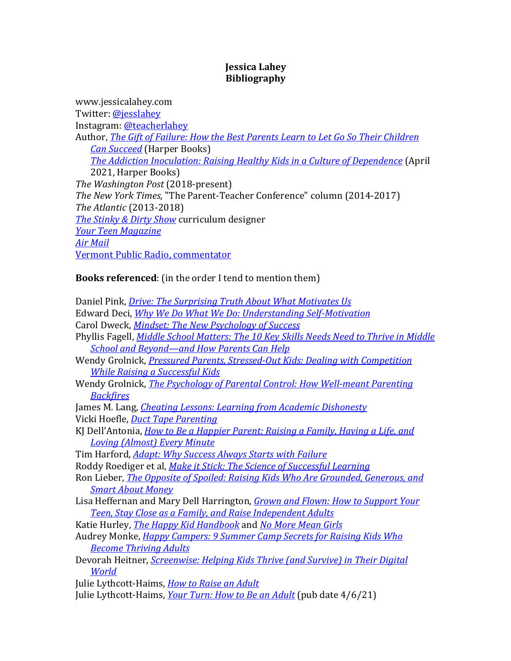## **Jessica Lahey Bibliography**

www.jessicalahey.com Twitter: @jesslahey Instagram: @teacherlahey Author, *The Gift of Failure: How the Best Parents Learn to Let Go So Their Children Can Succeed* (Harper Books) *The Addiction Inoculation: Raising Healthy Kids in a Culture of Dependence* (April 2021, Harper Books) *The Washington Post* (2018-present) *The New York Times,* "The Parent-Teacher Conference" column (2014-2017) *The Atlantic* (2013-2018) *The Stinky & Dirty Show* curriculum designer *Your Teen Magazine Air Mail* Vermont Public Radio, commentator

# **Books referenced**: (in the order I tend to mention them)

Daniel Pink, *Drive: The Surprising Truth About What Motivates Us* Edward Deci, *Why We Do What We Do: Understanding Self-Motivation* Carol Dweck, *Mindset: The New Psychology of Success* Phyllis Fagell, *Middle School Matters: The 10 Key Skills Needs Need to Thrive in Middle* **School and Beyond—and How Parents Can Help** Wendy Grolnick, *Pressured Parents, Stressed-Out Kids: Dealing with Competition While Raising a Successful Kids* Wendy Grolnick, *The Psychology of Parental Control: How Well-meant Parenting Backfires* James M. Lang, *Cheating Lessons: Learning from Academic Dishonesty* Vicki Hoefle, *Duct Tape Parenting* KJ Dell'Antonia, *How to Be a Happier Parent: Raising a Family, Having a Life, and* Loving (Almost) Every Minute Tim Harford, *Adapt: Why Success Always Starts with Failure* Roddy Roediger et al, *Make it Stick: The Science of Successful Learning* Ron Lieber, *The Opposite of Spoiled: Raising Kids Who Are Grounded, Generous, and Smart About Money* Lisa Heffernan and Mary Dell Harrington, *Grown and Flown: How to Support Your* **Teen, Stay Close as a Family, and Raise Independent Adults** Katie Hurley, *The Happy Kid Handbook* and *No More Mean Girls* Audrey Monke, *Happy Campers: 9 Summer Camp Secrets for Raising Kids Who Become Thriving Adults* Devorah Heitner, *Screenwise: Helping Kids Thrive (and Survive) in Their Digital World* Julie Lythcott-Haims, *How to Raise an Adult* Julie Lythcott-Haims, *Your Turn: How to Be an Adult* (pub date  $4/6/21$ )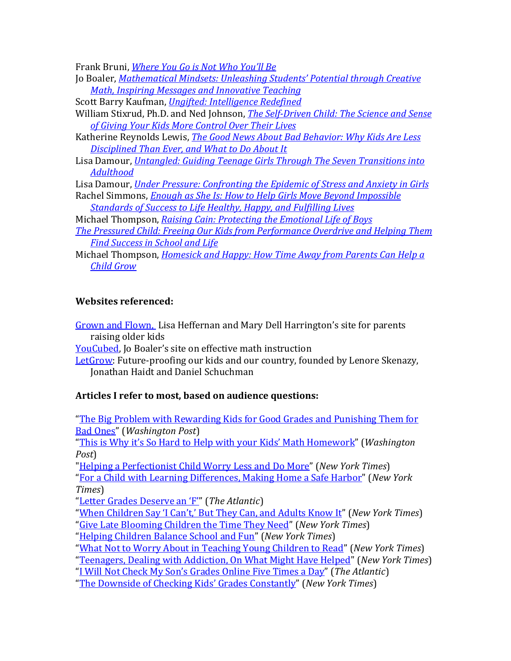Frank Bruni, *Where You Go is Not Who You'll Be* 

- Jo Boaler, *Mathematical Mindsets: Unleashing Students' Potential through Creative Math, Inspiring Messages and Innovative Teaching*
- Scott Barry Kaufman, *Ungifted: Intelligence Redefined*
- William Stixrud, Ph.D. and Ned Johnson, *The Self-Driven Child: The Science and Sense of Giving Your Kids More Control Over Their Lives*
- Katherine Reynolds Lewis, *The Good News About Bad Behavior: Why Kids Are Less Disciplined Than Ever, and What to Do About It*
- Lisa Damour, *Untangled: Guiding Teenage Girls Through The Seven Transitions into Adulthood*

Lisa Damour, *Under Pressure: Confronting the Epidemic of Stress and Anxiety in Girls* 

- Rachel Simmons, *Enough as She Is: How to Help Girls Move Beyond Impossible Standards of Success to Life Healthy, Happy, and Fulfilling Lives*
- Michael Thompson, *Raising Cain: Protecting the Emotional Life of Boys*
- **The Pressured Child: Freeing Our Kids from Performance Overdrive and Helping Them Find Success in School and Life**
- Michael Thompson, *Homesick and Happy: How Time Away from Parents Can Help a Child Grow*

## **Websites referenced:**

Grown and Flown, Lisa Heffernan and Mary Dell Harrington's site for parents raising older kids

YouCubed, Jo Boaler's site on effective math instruction

LetGrow: Future-proofing our kids and our country, founded by Lenore Skenazy, Jonathan Haidt and Daniel Schuchman

### Articles I refer to most, based on audience questions:

"The Big Problem with Rewarding Kids for Good Grades and Punishing Them for Bad Ones" (*Washington Post*) "This is Why it's So Hard to Help with your Kids' Math Homework" (*Washington Post*) "Helping a Perfectionist Child Worry Less and Do More" (*New York Times*) "For a Child with Learning Differences, Making Home a Safe Harbor" (*New York Times*) "Letter Grades Deserve an 'F'" (The Atlantic) "When Children Say 'I Can't,' But They Can, and Adults Know It" (*New York Times*) "Give Late Blooming Children the Time They Need" (*New York Times*) "Helping Children Balance School and Fun" (*New York Times*)

"What Not to Worry About in Teaching Young Children to Read" (*New York Times*)

"Teenagers, Dealing with Addiction, On What Might Have Helped" (*New York Times*)

"<u>I Will Not Check My Son's Grades Online Five Times a Day</u>" (*The Atlantic*)

"The Downside of Checking Kids' Grades Constantly" (*New York Times*)